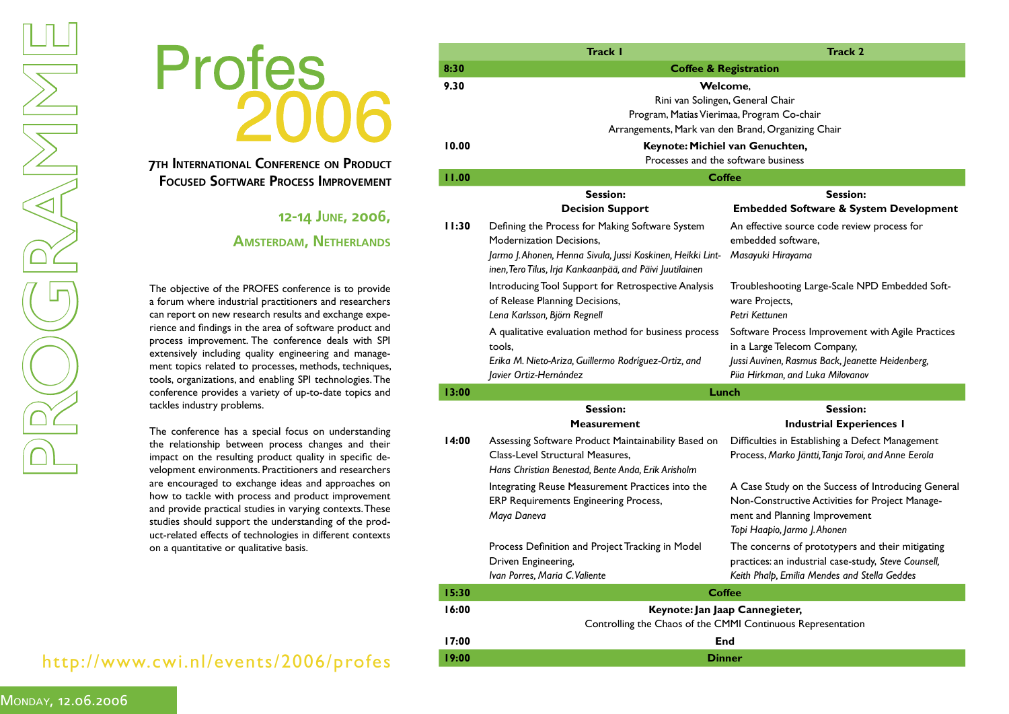

**7TH INTERNATIONAL CONFERENCE ON PRODUCT FOCUSED SOFTWARE PROCESS IMPROVEMENT**

## **12-14 JUNE, 2006,**

## **AMSTERDAM, NETHERLANDS**

a forum where industrial practitioners and researchers can report on new research results and exchange experience and findings in the area of software product and process improvement. The conference deals with SPI extensively including quality engineering and management topics related to processes, methods, techniques, tools, organizations, and enabling SPI technologies. The conference provides a variety of up-to-date topics and tackles industry problems.

The conference has a special focus on understanding the relationship between process changes and their impact on the resulting product quality in specific development environments. Practitioners and researchers are encouraged to exchange ideas and approaches on how to tackle with process and product improvement and provide practical studies in varying contexts. These studies should support the understanding of the product-related effects of technologies in different contexts on a quantitative or qualitative basis.

## http://www.cwi.nl/events/2006/profes

|       | <b>Track I</b>                                                                                                                                                                                                | <b>Track 2</b>                                                                                                                                                           |  |  |  |
|-------|---------------------------------------------------------------------------------------------------------------------------------------------------------------------------------------------------------------|--------------------------------------------------------------------------------------------------------------------------------------------------------------------------|--|--|--|
| 8:30  | <b>Coffee &amp; Registration</b>                                                                                                                                                                              |                                                                                                                                                                          |  |  |  |
| 9.30  | Welcome,<br>Rini van Solingen, General Chair<br>Program, Matias Vierimaa, Program Co-chair<br>Arrangements, Mark van den Brand, Organizing Chair                                                              |                                                                                                                                                                          |  |  |  |
| 10.00 |                                                                                                                                                                                                               |                                                                                                                                                                          |  |  |  |
|       | Keynote: Michiel van Genuchten,<br>Processes and the software business                                                                                                                                        |                                                                                                                                                                          |  |  |  |
| 11.00 |                                                                                                                                                                                                               | <b>Coffee</b>                                                                                                                                                            |  |  |  |
|       | <b>Session:</b>                                                                                                                                                                                               | <b>Session:</b>                                                                                                                                                          |  |  |  |
|       | <b>Decision Support</b>                                                                                                                                                                                       | <b>Embedded Software &amp; System Development</b>                                                                                                                        |  |  |  |
| 11:30 | Defining the Process for Making Software System<br><b>Modernization Decisions.</b><br>Jarmo J. Ahonen, Henna Sivula, Jussi Koskinen, Heikki Lint-<br>inen, Tero Tilus, Irja Kankaanpää, and Päivi Juutilainen | An effective source code review process for<br>embedded software.<br>Masayuki Hirayama                                                                                   |  |  |  |
|       | Introducing Tool Support for Retrospective Analysis<br>of Release Planning Decisions,<br>Lena Karlsson, Björn Regnell                                                                                         | Troubleshooting Large-Scale NPD Embedded Soft-<br>ware Projects,<br>Petri Kettunen                                                                                       |  |  |  |
|       | A qualitative evaluation method for business process<br>tools,<br>Erika M. Nieto-Ariza, Guillermo Rodríguez-Ortiz, and<br>Javier Ortiz-Hernández                                                              | Software Process Improvement with Agile Practices<br>in a Large Telecom Company,<br>Jussi Auvinen, Rasmus Back, Jeanette Heidenberg,<br>Piia Hirkman, and Luka Milovanov |  |  |  |
| 13:00 |                                                                                                                                                                                                               | Lunch                                                                                                                                                                    |  |  |  |
|       | <b>Session:</b>                                                                                                                                                                                               | <b>Session:</b>                                                                                                                                                          |  |  |  |
|       | <b>Measurement</b>                                                                                                                                                                                            | <b>Industrial Experiences I</b>                                                                                                                                          |  |  |  |
| 14:00 | Assessing Software Product Maintainability Based on<br>Class-Level Structural Measures.<br>Hans Christian Benestad, Bente Anda, Erik Arisholm                                                                 | Difficulties in Establishing a Defect Management<br>Process, Marko Jäntti, Tanja Toroi, and Anne Eerola                                                                  |  |  |  |
|       | Integrating Reuse Measurement Practices into the<br><b>ERP Requirements Engineering Process,</b><br>Maya Daneva                                                                                               | A Case Study on the Success of Introducing General<br>Non-Constructive Activities for Project Manage-<br>ment and Planning Improvement<br>Topi Haapio, Jarmo J. Ahonen   |  |  |  |
|       | Process Definition and Project Tracking in Model<br>Driven Engineering,<br>Ivan Porres, Maria C. Valiente                                                                                                     | The concerns of prototypers and their mitigating<br>practices: an industrial case-study, Steve Counsell,<br>Keith Phalp, Emilia Mendes and Stella Geddes                 |  |  |  |
| 15:30 |                                                                                                                                                                                                               | <b>Coffee</b>                                                                                                                                                            |  |  |  |
| 16:00 |                                                                                                                                                                                                               | Keynote: Jan Jaap Cannegieter,                                                                                                                                           |  |  |  |
|       | Controlling the Chaos of the CMMI Continuous Representation                                                                                                                                                   |                                                                                                                                                                          |  |  |  |
| 17:00 | End                                                                                                                                                                                                           |                                                                                                                                                                          |  |  |  |
| 19:00 | <b>Dinner</b>                                                                                                                                                                                                 |                                                                                                                                                                          |  |  |  |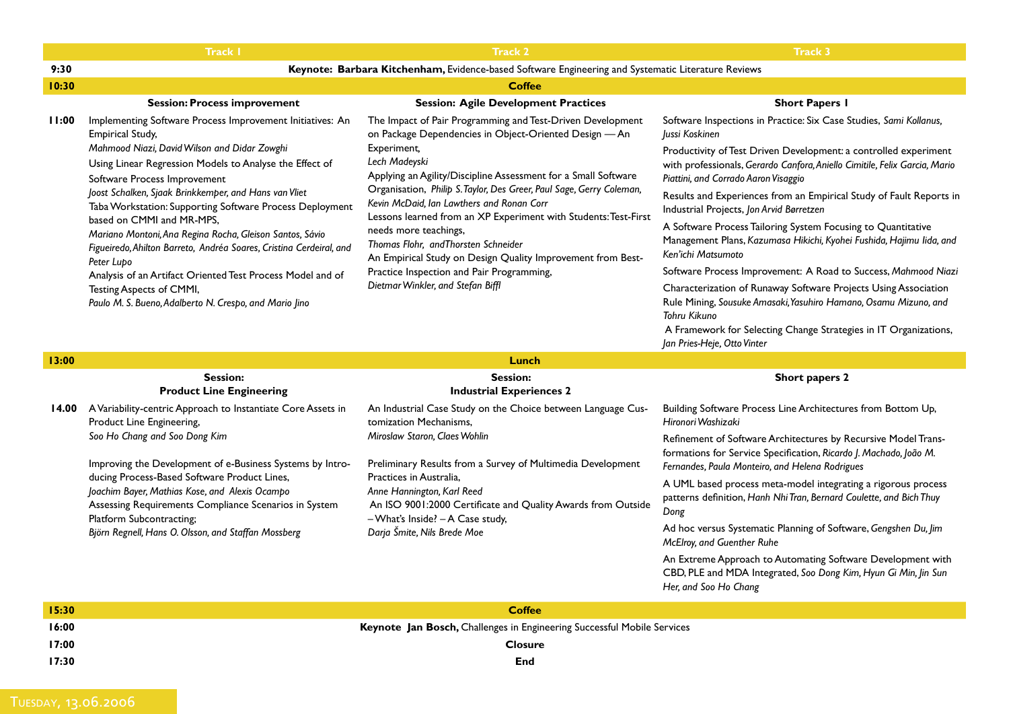|       | <b>Track I</b>                                                                                                                                                                                                                                                                                                                                                                                                                                                                                                                                                                                                                                                                         | <b>Track 2</b>                                                                                                                                                                                                                                                                                                                                                                                                                                                                                                                                                                                                                   | <b>Track 3</b>                                                                                                                                                                                                                                                                                                                                                                                                                                                                                                                                                                                                                                                                                                                                                                                                                                                                              |  |  |  |
|-------|----------------------------------------------------------------------------------------------------------------------------------------------------------------------------------------------------------------------------------------------------------------------------------------------------------------------------------------------------------------------------------------------------------------------------------------------------------------------------------------------------------------------------------------------------------------------------------------------------------------------------------------------------------------------------------------|----------------------------------------------------------------------------------------------------------------------------------------------------------------------------------------------------------------------------------------------------------------------------------------------------------------------------------------------------------------------------------------------------------------------------------------------------------------------------------------------------------------------------------------------------------------------------------------------------------------------------------|---------------------------------------------------------------------------------------------------------------------------------------------------------------------------------------------------------------------------------------------------------------------------------------------------------------------------------------------------------------------------------------------------------------------------------------------------------------------------------------------------------------------------------------------------------------------------------------------------------------------------------------------------------------------------------------------------------------------------------------------------------------------------------------------------------------------------------------------------------------------------------------------|--|--|--|
| 9:30  |                                                                                                                                                                                                                                                                                                                                                                                                                                                                                                                                                                                                                                                                                        | Keynote: Barbara Kitchenham, Evidence-based Software Engineering and Systematic Literature Reviews                                                                                                                                                                                                                                                                                                                                                                                                                                                                                                                               |                                                                                                                                                                                                                                                                                                                                                                                                                                                                                                                                                                                                                                                                                                                                                                                                                                                                                             |  |  |  |
| 10:30 | <b>Coffee</b>                                                                                                                                                                                                                                                                                                                                                                                                                                                                                                                                                                                                                                                                          |                                                                                                                                                                                                                                                                                                                                                                                                                                                                                                                                                                                                                                  |                                                                                                                                                                                                                                                                                                                                                                                                                                                                                                                                                                                                                                                                                                                                                                                                                                                                                             |  |  |  |
|       | <b>Session: Process improvement</b>                                                                                                                                                                                                                                                                                                                                                                                                                                                                                                                                                                                                                                                    | <b>Session: Agile Development Practices</b>                                                                                                                                                                                                                                                                                                                                                                                                                                                                                                                                                                                      | <b>Short Papers I</b>                                                                                                                                                                                                                                                                                                                                                                                                                                                                                                                                                                                                                                                                                                                                                                                                                                                                       |  |  |  |
| 11:00 | Implementing Software Process Improvement Initiatives: An<br><b>Empirical Study,</b><br>Mahmood Niazi, David Wilson and Didar Zowghi<br>Using Linear Regression Models to Analyse the Effect of<br>Software Process Improvement<br>Joost Schalken, Sjaak Brinkkemper, and Hans van Vliet<br>Taba Workstation: Supporting Software Process Deployment<br>based on CMMI and MR-MPS,<br>Mariano Montoni, Ana Regina Rocha, Gleison Santos, Sávio<br>Figueiredo, Ahilton Barreto, Andréa Soares, Cristina Cerdeiral, and<br>Peter Lupo<br>Analysis of an Artifact Oriented Test Process Model and of<br>Testing Aspects of CMMI,<br>Paulo M. S. Bueno, Adalberto N. Crespo, and Mario Jino | The Impact of Pair Programming and Test-Driven Development<br>on Package Dependencies in Object-Oriented Design - An<br>Experiment,<br>Lech Madeyski<br>Applying an Agility/Discipline Assessment for a Small Software<br>Organisation, Philip S. Taylor, Des Greer, Paul Sage, Gerry Coleman,<br>Kevin McDaid, Ian Lawthers and Ronan Corr<br>Lessons learned from an XP Experiment with Students: Test-First<br>needs more teachings,<br>Thomas Flohr, and Thorsten Schneider<br>An Empirical Study on Design Quality Improvement from Best-<br>Practice Inspection and Pair Programming,<br>Dietmar Winkler, and Stefan Biffl | Software Inspections in Practice: Six Case Studies, Sami Kollanus,<br>Jussi Koskinen<br>Productivity of Test Driven Development: a controlled experiment<br>with professionals, Gerardo Canfora, Aniello Cimitile, Felix Garcia, Mario<br>Piattini, and Corrado Aaron Visaggio<br>Results and Experiences from an Empirical Study of Fault Reports in<br>Industrial Projects, Jon Arvid Børretzen<br>A Software Process Tailoring System Focusing to Quantitative<br>Management Plans, Kazumasa Hikichi, Kyohei Fushida, Hajimu lida, and<br>Ken'ichi Matsumoto<br>Software Process Improvement: A Road to Success, Mahmood Niazi<br>Characterization of Runaway Software Projects Using Association<br>Rule Mining, Sousuke Amasaki, Yasuhiro Hamano, Osamu Mizuno, and<br>Tohru Kikuno<br>A Framework for Selecting Change Strategies in IT Organizations,<br>Jan Pries-Heje, Otto Vinter |  |  |  |
| 13:00 |                                                                                                                                                                                                                                                                                                                                                                                                                                                                                                                                                                                                                                                                                        | Lunch                                                                                                                                                                                                                                                                                                                                                                                                                                                                                                                                                                                                                            |                                                                                                                                                                                                                                                                                                                                                                                                                                                                                                                                                                                                                                                                                                                                                                                                                                                                                             |  |  |  |
|       | <b>Session:</b>                                                                                                                                                                                                                                                                                                                                                                                                                                                                                                                                                                                                                                                                        | <b>Session:</b>                                                                                                                                                                                                                                                                                                                                                                                                                                                                                                                                                                                                                  | Short papers 2                                                                                                                                                                                                                                                                                                                                                                                                                                                                                                                                                                                                                                                                                                                                                                                                                                                                              |  |  |  |
|       | <b>Product Line Engineering</b>                                                                                                                                                                                                                                                                                                                                                                                                                                                                                                                                                                                                                                                        | <b>Industrial Experiences 2</b>                                                                                                                                                                                                                                                                                                                                                                                                                                                                                                                                                                                                  |                                                                                                                                                                                                                                                                                                                                                                                                                                                                                                                                                                                                                                                                                                                                                                                                                                                                                             |  |  |  |
| 14.00 | A Variability-centric Approach to Instantiate Core Assets in<br>Product Line Engineering,<br>Soo Ho Chang and Soo Dong Kim<br>Improving the Development of e-Business Systems by Intro-<br>ducing Process-Based Software Product Lines,<br>Joachim Bayer, Mathias Kose, and Alexis Ocampo<br>Assessing Requirements Compliance Scenarios in System<br>Platform Subcontracting;<br>Björn Regnell, Hans O. Olsson, and Staffan Mossberg                                                                                                                                                                                                                                                  | An Industrial Case Study on the Choice between Language Cus-<br>tomization Mechanisms,<br>Miroslaw Staron, Claes Wohlin<br>Preliminary Results from a Survey of Multimedia Development<br>Practices in Australia.<br>Anne Hannington, Karl Reed<br>An ISO 9001:2000 Certificate and Quality Awards from Outside<br>- What's Inside? - A Case study,<br>Darja Šmite, Nils Brede Moe                                                                                                                                                                                                                                               | Building Software Process Line Architectures from Bottom Up,<br>Hironori Washizaki                                                                                                                                                                                                                                                                                                                                                                                                                                                                                                                                                                                                                                                                                                                                                                                                          |  |  |  |
|       |                                                                                                                                                                                                                                                                                                                                                                                                                                                                                                                                                                                                                                                                                        |                                                                                                                                                                                                                                                                                                                                                                                                                                                                                                                                                                                                                                  | Refinement of Software Architectures by Recursive Model Trans-<br>formations for Service Specification, Ricardo J. Machado, João M.<br>Fernandes, Paula Monteiro, and Helena Rodrigues                                                                                                                                                                                                                                                                                                                                                                                                                                                                                                                                                                                                                                                                                                      |  |  |  |
|       |                                                                                                                                                                                                                                                                                                                                                                                                                                                                                                                                                                                                                                                                                        |                                                                                                                                                                                                                                                                                                                                                                                                                                                                                                                                                                                                                                  | A UML based process meta-model integrating a rigorous process<br>patterns definition, Hanh Nhi Tran, Bernard Coulette, and Bich Thuy<br>Dong                                                                                                                                                                                                                                                                                                                                                                                                                                                                                                                                                                                                                                                                                                                                                |  |  |  |
|       |                                                                                                                                                                                                                                                                                                                                                                                                                                                                                                                                                                                                                                                                                        |                                                                                                                                                                                                                                                                                                                                                                                                                                                                                                                                                                                                                                  | Ad hoc versus Systematic Planning of Software, Gengshen Du, Jim<br>McElroy, and Guenther Ruhe                                                                                                                                                                                                                                                                                                                                                                                                                                                                                                                                                                                                                                                                                                                                                                                               |  |  |  |
|       |                                                                                                                                                                                                                                                                                                                                                                                                                                                                                                                                                                                                                                                                                        |                                                                                                                                                                                                                                                                                                                                                                                                                                                                                                                                                                                                                                  | An Extreme Approach to Automating Software Development with<br>CBD, PLE and MDA Integrated, Soo Dong Kim, Hyun Gi Min, Jin Sun<br>Her, and Soo Ho Chang                                                                                                                                                                                                                                                                                                                                                                                                                                                                                                                                                                                                                                                                                                                                     |  |  |  |
| 15:30 |                                                                                                                                                                                                                                                                                                                                                                                                                                                                                                                                                                                                                                                                                        | <b>Coffee</b>                                                                                                                                                                                                                                                                                                                                                                                                                                                                                                                                                                                                                    |                                                                                                                                                                                                                                                                                                                                                                                                                                                                                                                                                                                                                                                                                                                                                                                                                                                                                             |  |  |  |
|       |                                                                                                                                                                                                                                                                                                                                                                                                                                                                                                                                                                                                                                                                                        |                                                                                                                                                                                                                                                                                                                                                                                                                                                                                                                                                                                                                                  |                                                                                                                                                                                                                                                                                                                                                                                                                                                                                                                                                                                                                                                                                                                                                                                                                                                                                             |  |  |  |

|                                   | 17:00                                                                           |  |  | <b>Closure</b> |
|-----------------------------------|---------------------------------------------------------------------------------|--|--|----------------|
|                                   | 17:30                                                                           |  |  | End            |
|                                   |                                                                                 |  |  |                |
|                                   |                                                                                 |  |  |                |
| the company's company's company's | the contract of the contract of the contract of the contract of the contract of |  |  |                |